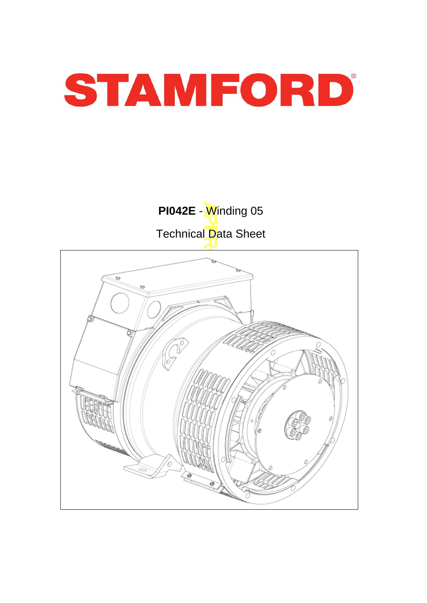

**PI042E** - *Winding 05* Technical Data Sheet

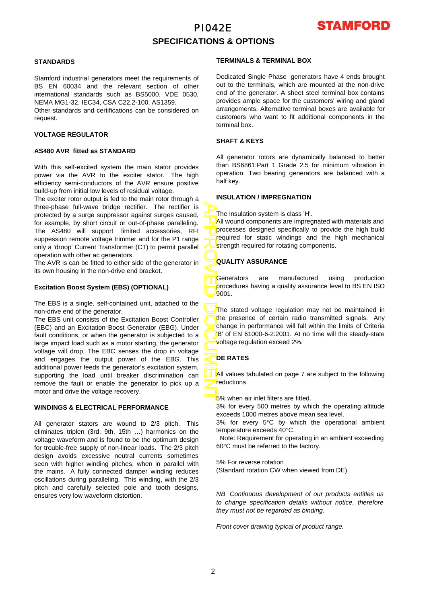

# **SPECIFICATIONS & OPTIONS**

## **STANDARDS**

Stamford industrial generators meet the requirements o f BS EN 60034 and the relevant section of other international standards such as BS5000, VDE 0530, NEMA MG1-32, IEC34, CSA C22.2-100, AS1359.

Other standards and certifications can be considered on request.

## **VOLTAGE REGULATOR**

#### **AS480 AVR fitted as STANDARD**

With this self-excited system the main stator provides power via the AVR to the exciter stator. The high efficiency semi-conductors of the AVR ensure positive build-up from initial low levels of residual voltage.

The exciter rotor output is fed to the main rotor through a three-phase full-wave bridge rectifier. The rectifier is protected by a surge suppressor against surges caused, for example, by short circuit or out-of-phase paralleling. The AS480 will support limited accessories, RFI suppession remote voltage trimmer and for the P1 range only a 'droop' Current Transformer (CT) to permit parallel operation with other ac generators.

The AVR is can be fitted to either side of the generator in its own housing in the non-drive end bracket.

### **Excitation Boost System (EBS) (OPTIONAL)**

The EBS is a single, self-contained unit, attached to the non-drive end of the generator.

The EBS unit consists of the Excitation Boost Controller (EBC) and an Excitation Boost Generator (EBG). Unde r fault conditions, or when the generator is subjected to a large impact load such as a motor starting, the generator voltage will drop. The EBC senses the drop in voltage and engages the output power of the EBG. This additional power feeds the generator's excitation system, supporting the load until breaker discrimination can remove the fault or enable the generator to pick up a motor and drive the voltage recovery.

#### **WINDINGS & ELECTRICAL PERFORMANCE**

All generator stators are wound to 2/3 pitch. This eliminates triplen (3rd, 9th, 15th …) harmonics on the voltage waveform and is found to be the optimum design for trouble-free supply of non-linear loads. The 2/3 pitch design avoids excessive neutral currents sometimes seen with higher winding pitches, when in parallel with the mains. A fully connected damper winding reduces oscillations during paralleling. This winding, with the 2/3 pitch and carefully selected pole and tooth designs, ensures very low waveform distortion.

#### **TERMINALS & TERMINAL BOX**

Dedicated Single Phase generators have 4 ends brought out to the terminals, which are mounted at the non-drive end of the generator. A sheet steel terminal box contains provides ample space for the customers' wiring and gland arrangements. Alternative terminal boxes are available fo r customers who want to fit additional components in the terminal box.

## **SHAFT & KEYS**

All generator rotors are dynamically balanced to better than BS6861:Part 1 Grade 2.5 for minimum vibration in operation. Two bearing generators are balanced with a half key.

## **INSULATION / IMPREGNATION**

The insulation system is class 'H'.

All wound components are impregnated with materials and processes designed specifically to provide the high build required for static windings and the high mechanical strength required for rotating components.

## **QUALITY ASSURANCE**

Generators are manufactured using production procedures having a quality assurance level to BS EN ISO 9001.

APPROVED DOCUMENT The stated voltage regulation may not be maintained in the presence of certain radio transmitted signals. Any change in performance will fall within the limits of Criteria B' of EN 61000-6-2:2001. At no time will the steady-state voltage regulation exceed 2%.

## **DE RATES**

All values tabulated on page 7 are subiect to the following reductions

5% when air inlet filters are fitted.

3% for every 500 metres by which the operating altitude exceeds 1000 metres above mean sea level.

3% for every 5°C by which the operational ambient temperature exceeds 40°C.

 Note: Requirement for operating in an ambient exceeding 60°C must be referred to the factory.

5% For reverse rotation

(Standard rotation CW when viewed from DE)

*NB Continuous development of our products entitles us to change specification details without notice, therefore they must not be regarded as binding.* 

*Front cover drawing typical of product range.*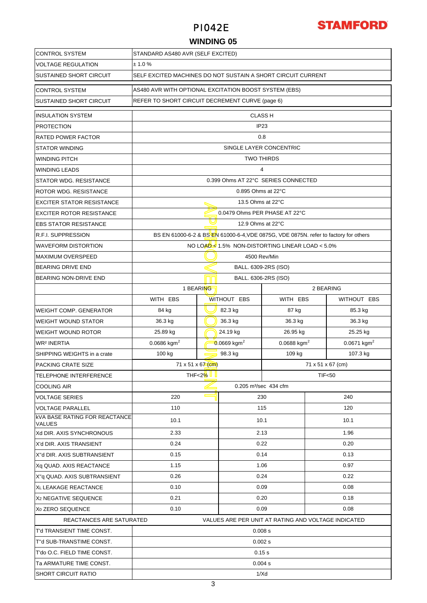

# **WINDING 05**

| <b>CONTROL SYSTEM</b>                                 | STANDARD AS480 AVR (SELF EXCITED)                                                   |                                                 |                                |                                                                                      |                           |             |  |  |
|-------------------------------------------------------|-------------------------------------------------------------------------------------|-------------------------------------------------|--------------------------------|--------------------------------------------------------------------------------------|---------------------------|-------------|--|--|
| <b>VOLTAGE REGULATION</b>                             | ± 1.0%                                                                              |                                                 |                                |                                                                                      |                           |             |  |  |
| <b>SUSTAINED SHORT CIRCUIT</b>                        | SELF EXCITED MACHINES DO NOT SUSTAIN A SHORT CIRCUIT CURRENT                        |                                                 |                                |                                                                                      |                           |             |  |  |
| <b>CONTROL SYSTEM</b>                                 | AS480 AVR WITH OPTIONAL EXCITATION BOOST SYSTEM (EBS)                               |                                                 |                                |                                                                                      |                           |             |  |  |
| <b>SUSTAINED SHORT CIRCUIT</b>                        |                                                                                     | REFER TO SHORT CIRCUIT DECREMENT CURVE (page 6) |                                |                                                                                      |                           |             |  |  |
| <b>INSULATION SYSTEM</b>                              |                                                                                     | <b>CLASS H</b>                                  |                                |                                                                                      |                           |             |  |  |
| <b>PROTECTION</b>                                     |                                                                                     |                                                 |                                | IP <sub>23</sub>                                                                     |                           |             |  |  |
| <b>RATED POWER FACTOR</b>                             |                                                                                     |                                                 |                                | 0.8                                                                                  |                           |             |  |  |
| <b>STATOR WINDING</b>                                 |                                                                                     |                                                 | SINGLE LAYER CONCENTRIC        |                                                                                      |                           |             |  |  |
| <b>WINDING PITCH</b>                                  |                                                                                     |                                                 | <b>TWO THIRDS</b>              |                                                                                      |                           |             |  |  |
| <b>WINDING LEADS</b>                                  |                                                                                     |                                                 |                                | 4                                                                                    |                           |             |  |  |
| <b>STATOR WDG. RESISTANCE</b>                         |                                                                                     |                                                 |                                | 0.399 Ohms AT 22°C SERIES CONNECTED                                                  |                           |             |  |  |
| ROTOR WDG. RESISTANCE                                 |                                                                                     |                                                 | $0.895$ Ohms at 22 $\degree$ C |                                                                                      |                           |             |  |  |
| <b>EXCITER STATOR RESISTANCE</b>                      |                                                                                     |                                                 | 13.5 Ohms at 22°C              |                                                                                      |                           |             |  |  |
| <b>EXCITER ROTOR RESISTANCE</b>                       |                                                                                     |                                                 |                                | 0.0479 Ohms PER PHASE AT 22°C                                                        |                           |             |  |  |
| <b>EBS STATOR RESISTANCE</b>                          |                                                                                     |                                                 | 12.9 Ohms at 22°C              |                                                                                      |                           |             |  |  |
| <b>R.F.I. SUPPRESSION</b>                             |                                                                                     |                                                 |                                | BS EN 61000-6-2 & BS EN 61000-6-4, VDE 0875G, VDE 0875N, refer to factory for others |                           |             |  |  |
| <b>WAVEFORM DISTORTION</b>                            |                                                                                     |                                                 |                                | NO LOAD 1.5% NON-DISTORTING LINEAR LOAD < 5.0%                                       |                           |             |  |  |
| <b>MAXIMUM OVERSPEED</b>                              |                                                                                     |                                                 |                                | 4500 Rev/Min                                                                         |                           |             |  |  |
| <b>BEARING DRIVE END</b>                              |                                                                                     |                                                 |                                | BALL. 6309-2RS (ISO)                                                                 |                           |             |  |  |
| BEARING NON-DRIVE END                                 |                                                                                     |                                                 | BALL. 6306-2RS (ISO)           |                                                                                      |                           |             |  |  |
|                                                       | 1 BEARING                                                                           |                                                 |                                |                                                                                      | 2 BEARING                 |             |  |  |
|                                                       | WITH EBS                                                                            |                                                 | WITHOUT EBS                    | WITH EBS                                                                             |                           | WITHOUT EBS |  |  |
| <b>WEIGHT COMP. GENERATOR</b>                         | 84 kg                                                                               |                                                 | 82.3 kg                        | 87 kg                                                                                |                           | 85.3 kg     |  |  |
| <b>WEIGHT WOUND STATOR</b>                            | 36.3 kg                                                                             |                                                 | 36.3 kg                        | 36.3 kg                                                                              |                           | 36.3 kg     |  |  |
| <b>WEIGHT WOUND ROTOR</b>                             | 25.89 kg<br>24.19 kg<br>26.95 kg                                                    |                                                 |                                |                                                                                      | 25.25 kg                  |             |  |  |
| <b>WR<sup>2</sup> INERTIA</b>                         | $0.0688$ kgm <sup>2</sup><br>$0.0686$ kgm <sup>2</sup><br>$0.0669$ kgm <sup>2</sup> |                                                 |                                |                                                                                      | $0.0671$ kgm <sup>2</sup> |             |  |  |
| SHIPPING WEIGHTS in a crate                           | 100 kg                                                                              |                                                 | 98.3 kg                        | 109 kg                                                                               |                           | 107.3 kg    |  |  |
| <b>PACKING CRATE SIZE</b>                             | 71 x 51 x 67 (cm)<br>71 x 51 x 67 (cm)                                              |                                                 |                                |                                                                                      |                           |             |  |  |
| TELEPHONE INTERFERENCE                                | THF<2% II<br><b>TIF&lt;50</b>                                                       |                                                 |                                |                                                                                      |                           |             |  |  |
| <b>COOLING AIR</b>                                    | 0.205 m <sup>3</sup> /sec 434 cfm                                                   |                                                 |                                |                                                                                      |                           |             |  |  |
| <b>VOLTAGE SERIES</b>                                 | 220                                                                                 |                                                 |                                | 230                                                                                  |                           | 240         |  |  |
| <b>VOLTAGE PARALLEL</b>                               | 110                                                                                 |                                                 |                                | 115                                                                                  |                           | 120         |  |  |
| <b>KVA BASE RATING FOR REACTANCE</b><br><b>VALUES</b> | 10.1                                                                                |                                                 |                                | 10.1                                                                                 |                           | 10.1        |  |  |
| Xd DIR. AXIS SYNCHRONOUS                              | 2.33                                                                                |                                                 |                                | 2.13                                                                                 |                           | 1.96        |  |  |
| X'd DIR. AXIS TRANSIENT                               | 0.24                                                                                |                                                 |                                | 0.22                                                                                 |                           | 0.20        |  |  |
| X"d DIR. AXIS SUBTRANSIENT                            | 0.15                                                                                |                                                 |                                | 0.14                                                                                 |                           | 0.13        |  |  |
| Xq QUAD. AXIS REACTANCE                               | 1.15                                                                                |                                                 |                                | 1.06                                                                                 |                           | 0.97        |  |  |
| X"g QUAD. AXIS SUBTRANSIENT                           | 0.26                                                                                |                                                 |                                | 0.24                                                                                 |                           | 0.22        |  |  |
| XL LEAKAGE REACTANCE                                  | 0.10                                                                                |                                                 |                                | 0.09                                                                                 |                           | 0.08        |  |  |
| X <sub>2</sub> NEGATIVE SEQUENCE                      | 0.21                                                                                |                                                 | 0.20                           |                                                                                      | 0.18                      |             |  |  |
| X <sub>0</sub> ZERO SEQUENCE                          | 0.10                                                                                |                                                 |                                | 0.09                                                                                 |                           | 0.08        |  |  |
| REACTANCES ARE SATURATED                              |                                                                                     |                                                 |                                | VALUES ARE PER UNIT AT RATING AND VOLTAGE INDICATED                                  |                           |             |  |  |
| T'd TRANSIENT TIME CONST.                             |                                                                                     |                                                 |                                | 0.008 s                                                                              |                           |             |  |  |
| T"d SUB-TRANSTIME CONST.                              |                                                                                     |                                                 |                                | 0.002 s                                                                              |                           |             |  |  |
| T'do O.C. FIELD TIME CONST.                           |                                                                                     |                                                 |                                | $0.15$ s                                                                             |                           |             |  |  |
| Ta ARMATURE TIME CONST.                               |                                                                                     |                                                 |                                | 0.004 s                                                                              |                           |             |  |  |
| <b>SHORT CIRCUIT RATIO</b>                            | 1/Xd                                                                                |                                                 |                                |                                                                                      |                           |             |  |  |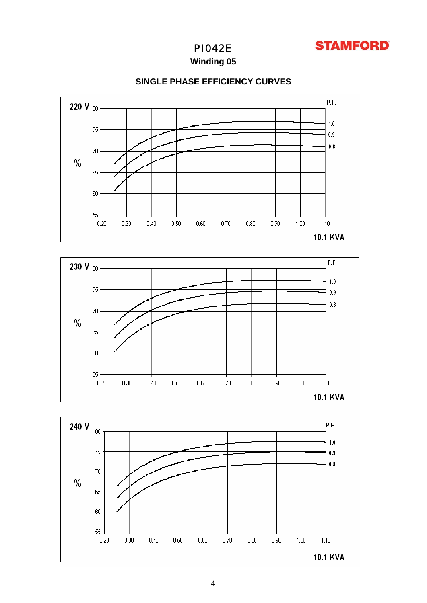

**Winding 05**



## **SINGLE PHASE EFFICIENCY CURVES**



60

 $55.$  $0.20$ 

 $0.30$ 

 $0.40$ 

 $0.50$ 

 $0.60\,$ 

 $0.70$ 

 $0.80$ 

 $0.90\,$ 

 $1.00$ 

 $1.10$ 10.1 KVA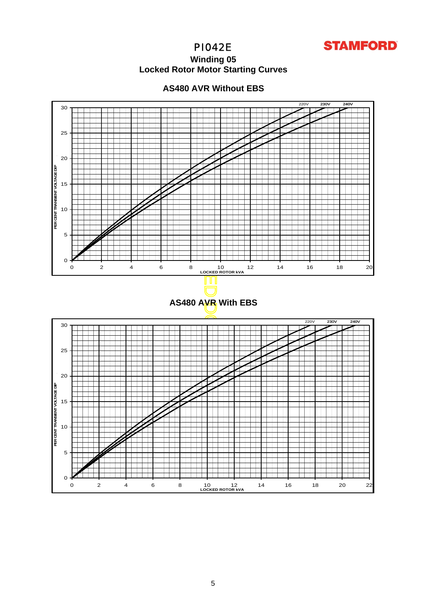

## **Winding 05 Locked Rotor Motor Startin g Curves**



**PER CENT TRANSIENT VOLTAGE DIP** 

PER CENT TRANSIENT VOLTAGE

움

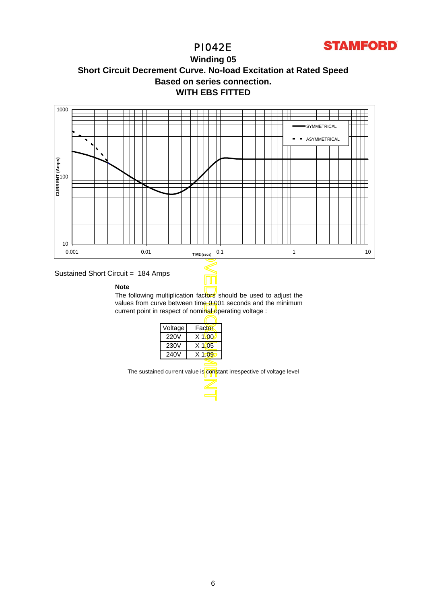

# **WITH EBS FITTED Winding 05 Short Circuit Decrement Curve. No-load Excitation at Rated Speed Based on series connection.**



## Sustained Short Circuit = 184 Amps

#### **Note**

The following multiplication factors should be used to adjust the values from curve between time 0.001 seconds and the minimum current point in respect of nominal operating voltage :

Τ

| Voltage | Factor   |
|---------|----------|
| 220V    | $X$ 1\00 |
| 230V    | $X$ 1.05 |
| 240V    | $X$ 1.09 |
|         |          |

The sustained current value is constant irrespective of voltage level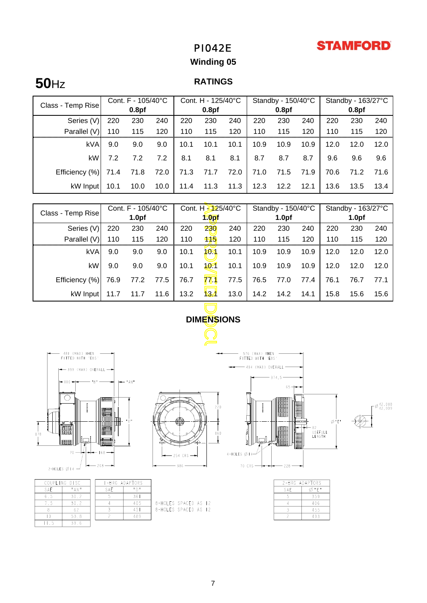# **STAMFORD**

# PI042E

# **Winding 05**

# **50**Hz **RATINGS**

|                   |      | Cont. F - 105/40°C |      |      | Cont. H - 125/40°C |      |      | Standby - 150/40°C |      |      | Standby - 163/27°C |      |
|-------------------|------|--------------------|------|------|--------------------|------|------|--------------------|------|------|--------------------|------|
| Class - Temp Rise |      | 0.8 <sub>pf</sub>  |      |      | 0.8 <sub>pf</sub>  |      |      | 0.8 <sub>pf</sub>  |      |      | 0.8 <sub>pf</sub>  |      |
| Series (V)        | 220  | 230                | 240  | 220  | 230                | 240  | 220  | 230                | 240  | 220  | 230                | 240  |
| Parallel (V)      | 110  | 115                | 120  | 110  | 115                | 120  | 110  | 115                | 120  | 110  | 115                | 120  |
| <b>kVA</b>        | 9.0  | 9.0                | 9.0  | 10.1 | 10.1               | 10.1 | 10.9 | 10.9               | 10.9 | 12.0 | 12.0               | 12.0 |
| kW                | 7.2  | 7.2                | 7.2  | 8.1  | 8.1                | 8.1  | 8.7  | 8.7                | 8.7  | 9.6  | 9.6                | 9.6  |
| Efficiency (%)    | 71.4 | 71.8               | 72.0 | 71.3 | 71.7               | 72.0 | 71.0 | 71.5               | 71.9 | 70.6 | 71.2               | 71.6 |
| kW Input          | 10.1 | 10.0               | 10.0 | 11.4 | 11.3               | 11.3 | 12.3 | 12.2               | 12.1 | 13.6 | 13.5               | 13.4 |

| Cont. F - 105/40°C<br>Class - Temp Rise |                                                                      | Cont. H - 125/40°C |      | Standby - 150/40°C |              |                   | Standby - 163/27°C |                                  |                   |      |      |      |
|-----------------------------------------|----------------------------------------------------------------------|--------------------|------|--------------------|--------------|-------------------|--------------------|----------------------------------|-------------------|------|------|------|
|                                         |                                                                      | 1.0 <sub>pf</sub>  |      | 1.0 <sub>pf</sub>  |              | 1.0 <sub>pf</sub> |                    |                                  | 1.0 <sub>pf</sub> |      |      |      |
| Series (V)                              | 220                                                                  | 230                | 240  | 220                | 230          | 240               | 220                | 230                              | 240               | 220  | 230  | 240  |
| Parallel (V)                            | 110                                                                  | 115                | 120  | 110                | 115          | 120               | 110                | 115                              | 120               | 110  | 115  | 120  |
| kVA                                     | 9.0                                                                  | 9.0                | 9.0  | 10.1               | 101          | 10.1              | 10.9               | 10.9                             | 10.9              | 12.0 | 12.0 | 12.0 |
| kW                                      | 9.0                                                                  | 9.0                | 9.0  | 10.1               | $10 - 1$     | 10.1              | 10.9               | 10.9                             | 10.9              | 12.0 | 12.0 | 12.0 |
| Efficiency (%)                          | 76.9                                                                 | 77.2               | 77.5 | 76.7               | 771          | 77.5              | 76.5               | 77.0                             | 77.4              | 76.1 | 76.7 | 77.1 |
| kW Input                                | 11.7                                                                 | 11.7               | 11.6 | 13.2               | $\mathbf{B}$ | 13.0              | 14.2               | 14.2                             | 14.1              | 15.8 | 15.6 | 15.6 |
|                                         |                                                                      |                    |      |                    |              |                   |                    |                                  |                   |      |      |      |
| <b>DIMENSIONS</b>                       |                                                                      |                    |      |                    |              |                   |                    |                                  |                   |      |      |      |
|                                         |                                                                      |                    |      |                    |              |                   |                    |                                  |                   |      |      |      |
| (MAX) WHEN<br>48 I                      |                                                                      |                    |      |                    |              |                   | WHEN<br>576 (MAX)  |                                  |                   |      |      |      |
| FITTED WITH 'EBS'                       |                                                                      |                    |      |                    |              |                   | FITTED WITH 'EBS'  |                                  |                   |      |      |      |
|                                         | - 494 (MAX) OVERALL<br>$\rightarrow$ 399 (MAX) OVERALL $\rightarrow$ |                    |      |                    |              |                   |                    |                                  |                   |      |      |      |
| l =     6 <del>→</del>                  |                                                                      | "AM"               |      |                    |              |                   |                    | 374,5                            |                   |      |      |      |
|                                         | 不同的的第三人                                                              |                    |      |                    |              |                   |                    | $65 -$<br><b>∕oleeseere in J</b> |                   |      |      |      |





|                | 22 |
|----------------|----|
|                |    |
|                | k  |
| $-254$ CRS $-$ |    |
| $-386$         |    |

| c<br>CRS | 220<br>160 | 4-HOLES Ø14- |
|----------|------------|--------------|
|          |            | 70 CRS       |

- 576 (MAX) WHEN<br>FITTED WITH 'EBS'  $\leftarrow$  494 (MAX) OVERALL - $-374,5$  $\vdash$ 65  $82$ USEFULL<br>LENGTH

 $-228-$ 

 $\Gamma^{\cancel{0}42,018}_{42,009}$ 

⊘"E"

|     | COUPLING DISC | $I - B R G$ |
|-----|---------------|-------------|
| SAF | " A N "       | SAF         |
| 65  | 30.2          |             |
| 75  | 30.2          |             |
|     | 62            |             |
| Ιn  | 53.8          |             |
|     | 39            |             |

| 8-HOLES SPACED AS |  |
|-------------------|--|
| 8-HOLES SPACED AS |  |
|                   |  |

ADAPTOR:  $\overline{\mathbb{F}_p}$  $361$  $\frac{405}{451}$ 

 $489\,$ 

| 2-BRG ADAPTORS |     |  |  |  |  |
|----------------|-----|--|--|--|--|
| SAF            | "F" |  |  |  |  |
|                | 359 |  |  |  |  |
|                | 406 |  |  |  |  |
|                | 455 |  |  |  |  |
|                | 493 |  |  |  |  |

 $\frac{2}{2}$